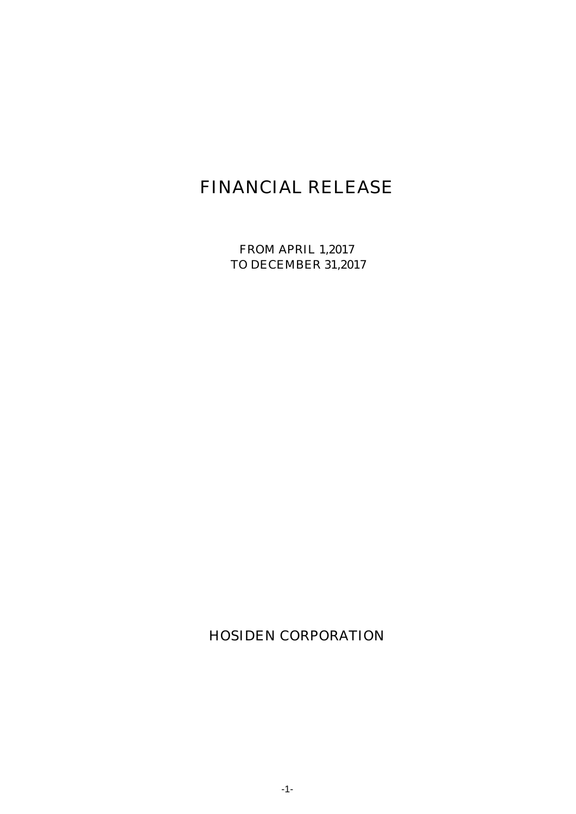# FINANCIAL RELEASE

FROM APRIL 1,2017 TO DECEMBER 31,2017

HOSIDEN CORPORATION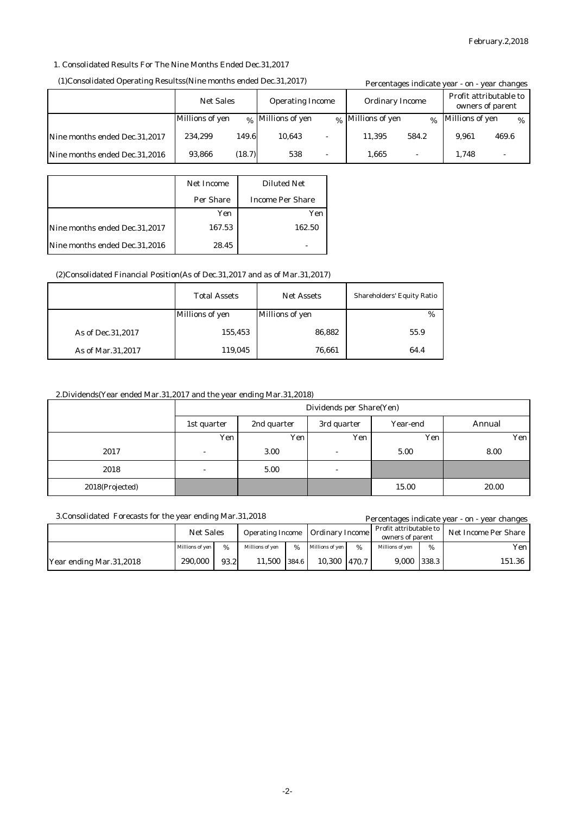## 1. Consolidated Results For The Nine Months Ended Dec.31,2017

#### (1)Consolidated Operating Resultss(Nine months ended Dec.31,2017)

|                               | (1)Consolidated Operating Resultss(Nine months ended Dec.31,2017) |        |                        |   | Percentages indicate year - on - year changes |               |                 |       |      |
|-------------------------------|-------------------------------------------------------------------|--------|------------------------|---|-----------------------------------------------|---------------|-----------------|-------|------|
|                               | <b>Net Sales</b><br><b>Operating Income</b>                       |        | <b>Ordinary Income</b> |   | Profit attributable to<br>owners of parent    |               |                 |       |      |
|                               | Millions of yen                                                   |        | % Millions of yen      |   | % Millions of yen                             | $\frac{0}{6}$ | Millions of yen |       | $\%$ |
| Nine months ended Dec.31,2017 | 234.299                                                           | 149.6  | 10.643                 |   | 11.395                                        | 584.2         | 9.961           | 469.6 |      |
| Nine months ended Dec.31,2016 | 93,866                                                            | (18.7) | 538                    | - | 1.665                                         |               | 1.748           |       |      |

|                               | <b>Net Income</b> | <b>Diluted Net</b>      |
|-------------------------------|-------------------|-------------------------|
|                               | <b>Per Share</b>  | <b>Income Per Share</b> |
|                               | Yen               | Yen                     |
| Nine months ended Dec.31,2017 | 167.53            | 162.50                  |
| Nine months ended Dec.31,2016 | 28.45             |                         |

## (2)Consolidated Financial Position(As of Dec.31,2017 and as of Mar.31,2017)

|                     | <b>Total Assets</b><br><b>Net Assets</b> |                 | <b>Shareholders' Equity Ratio</b> |
|---------------------|------------------------------------------|-----------------|-----------------------------------|
|                     | <b>Millions of yen</b>                   | Millions of yen | $\%$                              |
| As of Dec. 31, 2017 | 155,453                                  | 86,882          | 55.9                              |
| As of Mar.31,2017   | 119,045                                  | 76,661          | 64.4                              |

## 2.Dividends(Year ended Mar.31,2017 and the year ending Mar.31,2018)

|                 | Dividends per Share(Yen) |             |                          |            |        |  |  |
|-----------------|--------------------------|-------------|--------------------------|------------|--------|--|--|
|                 | 1st quarter              | 2nd quarter | 3rd quarter              | Year-end   | Annual |  |  |
|                 | Yen                      | Yen         | Yen                      | <b>Yen</b> | Yen    |  |  |
| 2017            | -                        | 3.00        | $\overline{\phantom{a}}$ | 5.00       | 8.00   |  |  |
| 2018            | -                        | 5.00        | $\overline{\phantom{a}}$ |            |        |  |  |
| 2018(Projected) |                          |             |                          | 15.00      | 20.00  |  |  |

| 3. Consolidated Forecasts for the year ending Mar. 31, 2018 |                  |      |                         |               |                        |      |                                            |      | Percentages indicate year - on - year changes |
|-------------------------------------------------------------|------------------|------|-------------------------|---------------|------------------------|------|--------------------------------------------|------|-----------------------------------------------|
|                                                             | <b>Net Sales</b> |      | <b>Operating Income</b> |               | <b>Ordinary Income</b> |      | Profit attributable to<br>owners of parent |      | Net Income Per Share                          |
|                                                             | Millions of ven  | %    | Millions of ven         | $\frac{9}{6}$ | <b>Millions of ven</b> | $\%$ | Millions of yen                            | $\%$ | Yen l                                         |
| Year ending Mar.31,2018                                     | 290.000          | 93.2 | 11.500                  | 384.6         | 10,300 470.7           |      | 9,000 338.3                                |      | 151.36                                        |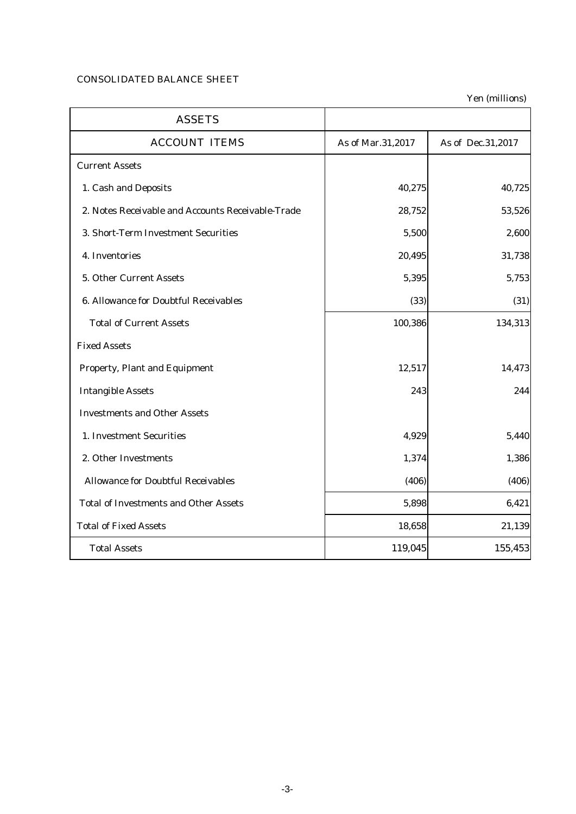# CONSOLIDATED BALANCE SHEET

Yen (millions)

| <b>ASSETS</b>                                     |                   |                   |
|---------------------------------------------------|-------------------|-------------------|
| <b>ACCOUNT ITEMS</b>                              | As of Mar.31,2017 | As of Dec.31,2017 |
| <b>Current Assets</b>                             |                   |                   |
| 1. Cash and Deposits                              | 40,275            | 40,725            |
| 2. Notes Receivable and Accounts Receivable-Trade | 28,752            | 53,526            |
| 3. Short-Term Investment Securities               | 5,500             | 2,600             |
| 4. Inventories                                    | 20,495            | 31,738            |
| 5. Other Current Assets                           | 5,395             | 5,753             |
| <b>6. Allowance for Doubtful Receivables</b>      | (33)              | (31)              |
| <b>Total of Current Assets</b>                    | 100,386           | 134,313           |
| <b>Fixed Assets</b>                               |                   |                   |
| <b>Property, Plant and Equipment</b>              | 12,517            | 14,473            |
| <b>Intangible Assets</b>                          | 243               | 244               |
| <b>Investments and Other Assets</b>               |                   |                   |
| 1. Investment Securities                          | 4,929             | 5,440             |
| 2. Other Investments                              | 1,374             | 1,386             |
| <b>Allowance for Doubtful Receivables</b>         | (406)             | (406)             |
| <b>Total of Investments and Other Assets</b>      | 5,898             | 6,421             |
| <b>Total of Fixed Assets</b>                      | 18,658            | 21,139            |
| <b>Total Assets</b>                               | 119,045           | 155,453           |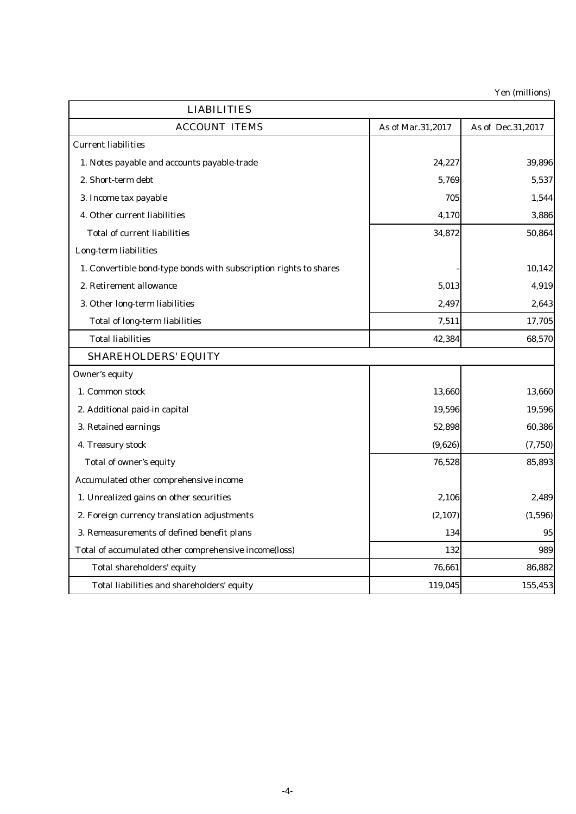Yen (millions)

| <b>LIABILITIES</b>                                                |                   |                   |
|-------------------------------------------------------------------|-------------------|-------------------|
| <b>ACCOUNT ITEMS</b>                                              | As of Mar.31,2017 | As of Dec.31,2017 |
| <b>Current liabilities</b>                                        |                   |                   |
| 1. Notes payable and accounts payable-trade                       | 24,227            | 39,896            |
| 2. Short-term debt                                                | 5,769             | 5,537             |
| 3. Income tax payable                                             | 705               | 1,544             |
| 4. Other current liabilities                                      | 4,170             | 3,886             |
| <b>Total of current liabilities</b>                               | 34,872            | 50,864            |
| Long-term liabilities                                             |                   |                   |
| 1. Convertible bond-type bonds with subscription rights to shares |                   | 10,142            |
| 2. Retirement allowance                                           | 5,013             | 4,919             |
| 3. Other long-term liabilities                                    | 2,497             | 2,643             |
| <b>Total of long-term liabilities</b>                             | 7,511             | 17,705            |
| <b>Total liabilities</b>                                          | 42,384            | 68,570            |
| <b>SHAREHOLDERS' EQUITY</b>                                       |                   |                   |
| Owner's equity                                                    |                   |                   |
| 1. Common stock                                                   | 13,660            | 13,660            |
| 2. Additional paid-in capital                                     | 19,596            | 19,596            |
| 3. Retained earnings                                              | 52,898            | 60,386            |
| 4. Treasury stock                                                 | (9,626)           | (7,750)           |
| Total of owner's equity                                           | 76,528            | 85,893            |
| Accumulated other comprehensive income                            |                   |                   |
| 1. Unrealized gains on other securities                           | 2,106             | 2,489             |
| 2. Foreign currency translation adjustments                       | (2, 107)          | (1,596)           |
| 3. Remeasurements of defined benefit plans                        | 134               | 95                |
| Total of accumulated other comprehensive income(loss)             | 132               | 989               |
| Total shareholders' equity                                        | 76,661            | 86,882            |
| Total liabilities and shareholders' equity                        | 119,045           | 155,453           |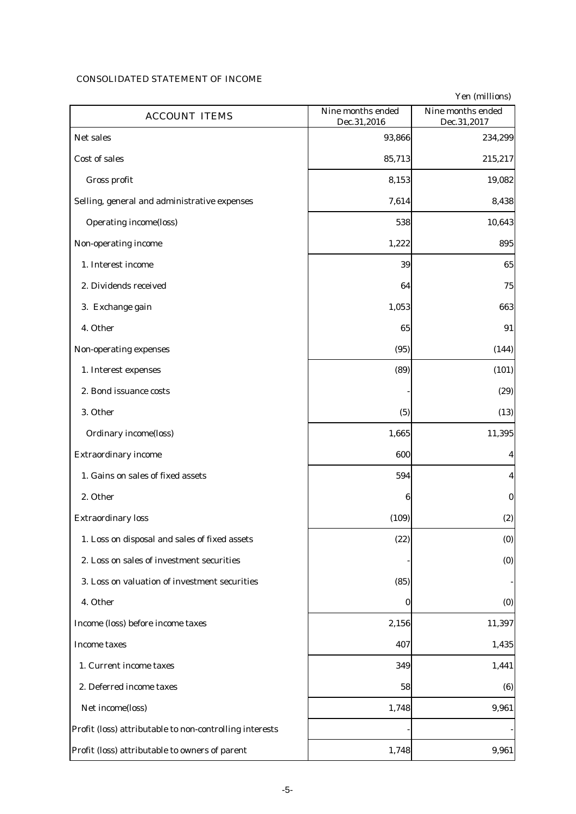# CONSOLIDATED STATEMENT OF INCOME

| <b>ACCOUNT ITEMS</b>                                    | Nine months ended<br>Dec.31,2016 | Yen (millions)<br>Nine months ended<br>Dec.31,2017 |
|---------------------------------------------------------|----------------------------------|----------------------------------------------------|
| Net sales                                               | 93,866                           | 234,299                                            |
| <b>Cost of sales</b>                                    | 85,713                           | 215,217                                            |
| Gross profit                                            | 8,153                            | 19,082                                             |
| Selling, general and administrative expenses            | 7,614                            | 8,438                                              |
| <b>Operating income(loss)</b>                           | 538                              | 10,643                                             |
| Non-operating income                                    | 1,222                            | 895                                                |
| 1. Interest income                                      | 39                               | 65                                                 |
| 2. Dividends received                                   | 64                               | 75                                                 |
| 3. Exchange gain                                        | 1,053                            | 663                                                |
| 4. Other                                                | 65                               | 91                                                 |
| Non-operating expenses                                  | (95)                             | (144)                                              |
| 1. Interest expenses                                    | (89)                             | (101)                                              |
| 2. Bond issuance costs                                  |                                  | (29)                                               |
| 3. Other                                                | (5)                              | (13)                                               |
| <b>Ordinary income(loss)</b>                            | 1,665                            | 11,395                                             |
| <b>Extraordinary income</b>                             | 600                              | 4                                                  |
| 1. Gains on sales of fixed assets                       | 594                              | 4                                                  |
| 2. Other                                                | 6                                | $\bf{0}$                                           |
| <b>Extraordinary loss</b>                               | (109)                            | (2)                                                |
| 1. Loss on disposal and sales of fixed assets           | (22)                             | (0)                                                |
| 2. Loss on sales of investment securities               |                                  | (0)                                                |
| 3. Loss on valuation of investment securities           | (85)                             |                                                    |
| 4. Other                                                | 0                                | (0)                                                |
| Income (loss) before income taxes                       | 2,156                            | 11,397                                             |
| <b>Income taxes</b>                                     | 407                              | 1,435                                              |
| 1. Current income taxes                                 | 349                              | 1,441                                              |
| 2. Deferred income taxes                                | 58                               | (6)                                                |
| Net income(loss)                                        | 1,748                            | 9,961                                              |
| Profit (loss) attributable to non-controlling interests |                                  |                                                    |
| Profit (loss) attributable to owners of parent          | 1,748                            | 9,961                                              |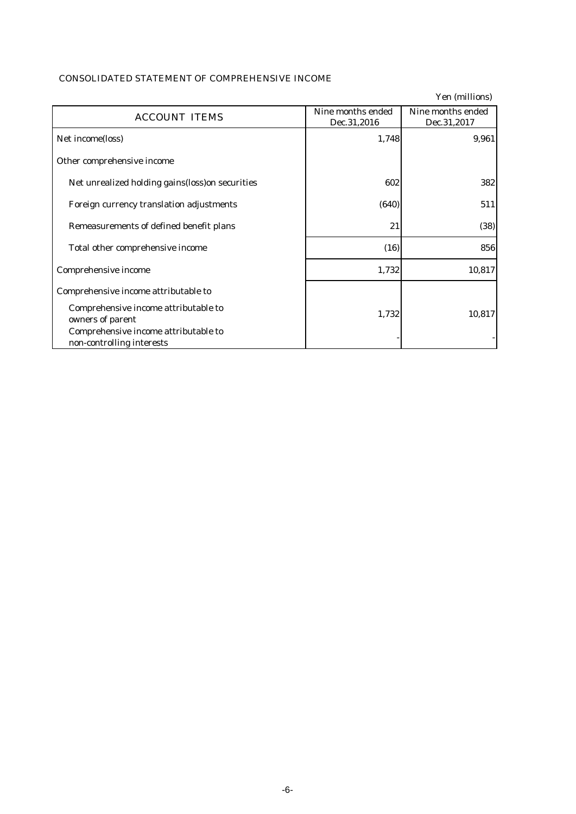|                                                                   |                                  | Yen (millions)                   |
|-------------------------------------------------------------------|----------------------------------|----------------------------------|
| <b>ACCOUNT ITEMS</b>                                              | Nine months ended<br>Dec.31,2016 | Nine months ended<br>Dec.31,2017 |
| Net income(loss)                                                  | 1,748                            | 9,961                            |
| Other comprehensive income                                        |                                  |                                  |
| Net unrealized holding gains (loss) on securities                 | 602                              | 382                              |
| Foreign currency translation adjustments                          | (640)                            | 511                              |
| Remeasurements of defined benefit plans                           | 21                               | (38)                             |
| Total other comprehensive income                                  | (16)                             | 856                              |
| Comprehensive income                                              | 1,732                            | 10,817                           |
| Comprehensive income attributable to                              |                                  |                                  |
| Comprehensive income attributable to<br>owners of parent          | 1,732                            | 10,817                           |
| Comprehensive income attributable to<br>non-controlling interests |                                  |                                  |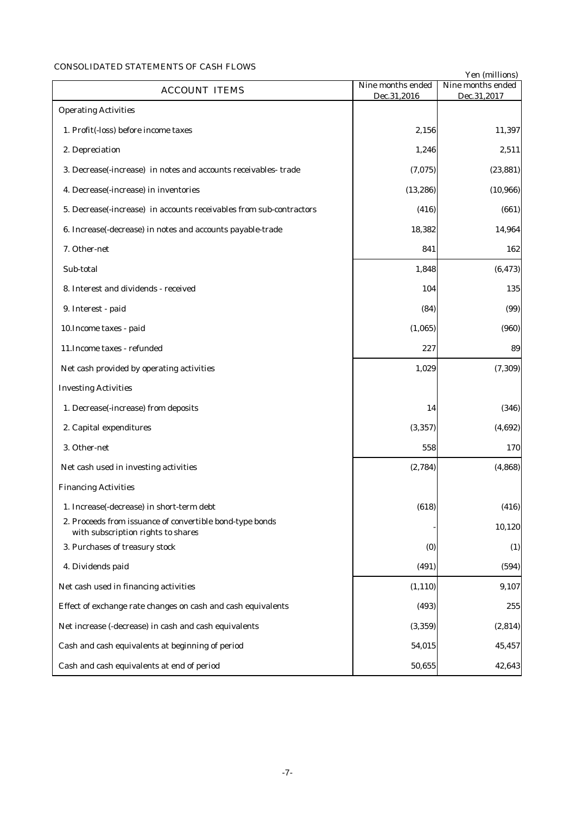# CONSOLIDATED STATEMENTS OF CASH FLOWS

|                                                                                                |                                  | Yen (millions)                   |
|------------------------------------------------------------------------------------------------|----------------------------------|----------------------------------|
| <b>ACCOUNT ITEMS</b>                                                                           | Nine months ended<br>Dec.31,2016 | Nine months ended<br>Dec.31,2017 |
| <b>Operating Activities</b>                                                                    |                                  |                                  |
| 1. Profit(-loss) before income taxes                                                           | 2,156                            | 11,397                           |
| 2. Depreciation                                                                                | 1,246                            | 2,511                            |
| 3. Decrease(-increase) in notes and accounts receivables-trade                                 | (7,075)                          | (23, 881)                        |
| 4. Decrease(-increase) in inventories                                                          | (13, 286)                        | (10, 966)                        |
| 5. Decrease(-increase) in accounts receivables from sub-contractors                            | (416)                            | (661)                            |
| 6. Increase(-decrease) in notes and accounts payable-trade                                     | 18,382                           | 14,964                           |
| 7. Other-net                                                                                   | 841                              | 162                              |
| Sub-total                                                                                      | 1,848                            | (6, 473)                         |
| 8. Interest and dividends - received                                                           | 104                              | 135                              |
| 9. Interest - paid                                                                             | (84)                             | (99)                             |
| 10. Income taxes - paid                                                                        | (1,065)                          | (960)                            |
| 11. Income taxes - refunded                                                                    | 227                              | 89                               |
| Net cash provided by operating activities                                                      | 1,029                            | (7, 309)                         |
| <b>Investing Activities</b>                                                                    |                                  |                                  |
| 1. Decrease(-increase) from deposits                                                           | 14                               | (346)                            |
| 2. Capital expenditures                                                                        | (3, 357)                         | (4,692)                          |
| 3. Other-net                                                                                   | 558                              | 170                              |
| Net cash used in investing activities                                                          | (2,784)                          | (4, 868)                         |
| <b>Financing Activities</b>                                                                    |                                  |                                  |
| 1. Increase(-decrease) in short-term debt                                                      | (618)                            | (416)                            |
| 2. Proceeds from issuance of convertible bond-type bonds<br>with subscription rights to shares |                                  | 10,120                           |
| 3. Purchases of treasury stock                                                                 | (0)                              | (1)                              |
| 4. Dividends paid                                                                              | (491)                            | (594)                            |
| Net cash used in financing activities                                                          | (1, 110)                         | 9,107                            |
| Effect of exchange rate changes on cash and cash equivalents                                   | (493)                            | 255                              |
| Net increase (-decrease) in cash and cash equivalents                                          | (3, 359)                         | (2,814)                          |
| Cash and cash equivalents at beginning of period                                               | 54,015                           | 45,457                           |
| Cash and cash equivalents at end of period                                                     | 50,655                           | 42,643                           |